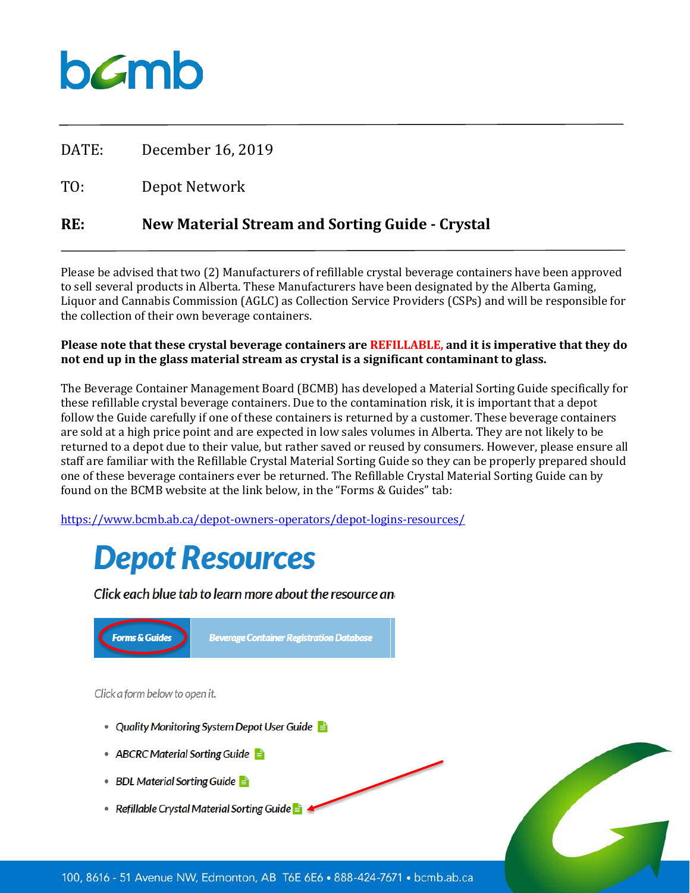## bamb

DATE: December 16, 2019

TO: Depot Network

### **RE: New Material Stream and Sorting Guide - Crystal**

Please be advised that two (2) Manufacturers of refillable crystal beverage containers have been approved to sell several products in Alberta. These Manufacturers have been designated by the Alberta Gaming, Liquor and Cannabis Commission (AGLC) as Collection Service Providers (CSPs) and will be responsible for the collection of their own beverage containers.

#### **Please note that these crystal beverage containers are REFILLABLE, and it is imperative that they do not end up in the glass material stream as crystal is a significant contaminant to glass.**

The Beverage Container Management Board (BCMB) has developed a Material Sorting Guide specifically for these refillable crystal beverage containers. Due to the contamination risk, it is important that a depot follow the Guide carefully if one of these containers is returned by a customer. These beverage containers are sold at a high price point and are expected in low sales volumes in Alberta. They are not likely to be returned to a depot due to their value, but rather saved or reused by consumers. However, please ensure all staff are familiar with the Refillable Crystal Material Sorting Guide so they can be properly prepared should one of these beverage containers ever be returned. The Refillable Crystal Material Sorting Guide can by found on the BCMB website at the link below, in the "Forms & Guides" tab:

<https://www.bcmb.ab.ca/depot-owners-operators/depot-logins-resources/>

## **Depot Resources**

Click each blue tab to learn more about the resource and



- ABCRC Material Sorting Guide
- BDL Material Sorting Guide
- Refillable Crystal Material Sorting Guide